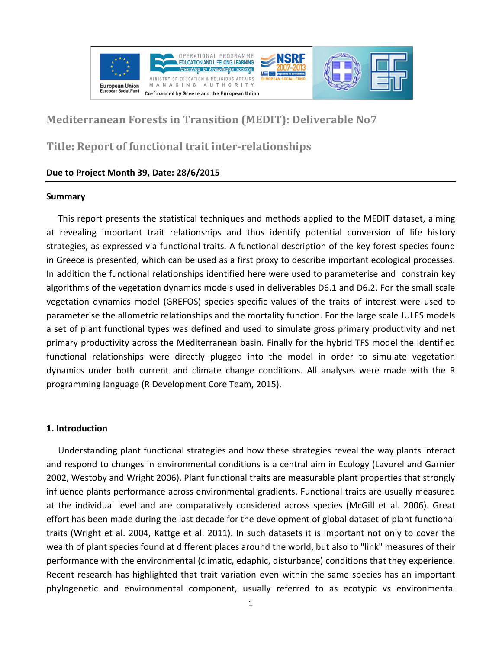

# **Mediterranean Forests in Transition (MEDIT): Deliverable No7**

# **Title: Report of functional trait inter-relationships**

# **Due to Project Month 39, Date: 28/6/2015**

### **Summary**

This report presents the statistical techniques and methods applied to the MEDIT dataset, aiming at revealing important trait relationships and thus identify potential conversion of life history strategies, as expressed via functional traits. A functional description of the key forest species found in Greece is presented, which can be used as a first proxy to describe important ecological processes. In addition the functional relationships identified here were used to parameterise and constrain key algorithms of the vegetation dynamics models used in deliverables D6.1 and D6.2. For the small scale vegetation dynamics model (GREFOS) species specific values of the traits of interest were used to parameterise the allometric relationships and the mortality function. For the large scale JULES models a set of plant functional types was defined and used to simulate gross primary productivity and net primary productivity across the Mediterranean basin. Finally for the hybrid TFS model the identified functional relationships were directly plugged into the model in order to simulate vegetation dynamics under both current and climate change conditions. All analyses were made with the R programming language (R Development Core Team, 2015).

## **1. Introduction**

Understanding plant functional strategies and how these strategies reveal the way plants interact and respond to changes in environmental conditions is a central aim in Ecology (Lavorel and Garnier 2002, Westoby and Wright 2006). Plant functional traits are measurable plant properties that strongly influence plants performance across environmental gradients. Functional traits are usually measured at the individual level and are comparatively considered across species (McGill et al. 2006). Great effort has been made during the last decade for the development of global dataset of plant functional traits (Wright et al. 2004, Kattge et al. 2011). In such datasets it is important not only to cover the wealth of plant species found at different places around the world, but also to "link" measures of their performance with the environmental (climatic, edaphic, disturbance) conditions that they experience. Recent research has highlighted that trait variation even within the same species has an important phylogenetic and environmental component, usually referred to as ecotypic vs environmental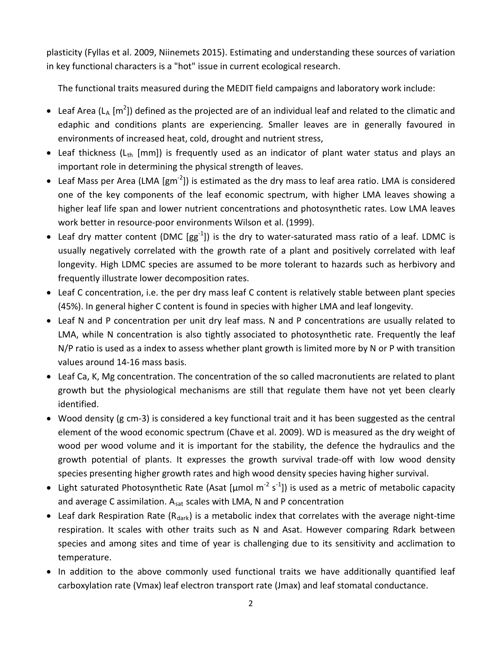plasticity (Fyllas et al. 2009, Niinemets 2015). Estimating and understanding these sources of variation in key functional characters is a "hot" issue in current ecological research.

The functional traits measured during the MEDIT field campaigns and laboratory work include:

- Leaf Area (L<sub>A</sub> [m<sup>2</sup>]) defined as the projected are of an individual leaf and related to the climatic and edaphic and conditions plants are experiencing. Smaller leaves are in generally favoured in environments of increased heat, cold, drought and nutrient stress,
- Leaf thickness ( $L_{th}$  [mm]) is frequently used as an indicator of plant water status and plays an important role in determining the physical strength of leaves.
- Leaf Mass per Area (LMA [gm<sup>-2</sup>]) is estimated as the dry mass to leaf area ratio. LMA is considered one of the key components of the leaf economic spectrum, with higher LMA leaves showing a higher leaf life span and lower nutrient concentrations and photosynthetic rates. Low LMA leaves work better in resource-poor environments Wilson et al. (1999).
- Leaf dry matter content (DMC  $[gg^{-1}]$ ) is the dry to water-saturated mass ratio of a leaf. LDMC is usually negatively correlated with the growth rate of a plant and positively correlated with leaf longevity. High LDMC species are assumed to be more tolerant to hazards such as herbivory and frequently illustrate lower decomposition rates.
- Leaf C concentration, i.e. the per dry mass leaf C content is relatively stable between plant species (45%). In general higher C content is found in species with higher LMA and leaf longevity.
- Leaf N and P concentration per unit dry leaf mass. N and P concentrations are usually related to LMA, while N concentration is also tightly associated to photosynthetic rate. Frequently the leaf N/P ratio is used as a index to assess whether plant growth is limited more by N or P with transition values around 14-16 mass basis.
- Leaf Ca, K, Mg concentration. The concentration of the so called macronutients are related to plant growth but the physiological mechanisms are still that regulate them have not yet been clearly identified.
- Wood density (g cm-3) is considered a key functional trait and it has been suggested as the central element of the wood economic spectrum (Chave et al. 2009). WD is measured as the dry weight of wood per wood volume and it is important for the stability, the defence the hydraulics and the growth potential of plants. It expresses the growth survival trade-off with low wood density species presenting higher growth rates and high wood density species having higher survival.
- Light saturated Photosynthetic Rate (Asat [µmol m<sup>-2</sup> s<sup>-1</sup>]) is used as a metric of metabolic capacity and average C assimilation. A<sub>sat</sub> scales with LMA, N and P concentration
- Leaf dark Respiration Rate  $(R_{dark})$  is a metabolic index that correlates with the average night-time respiration. It scales with other traits such as N and Asat. However comparing Rdark between species and among sites and time of year is challenging due to its sensitivity and acclimation to temperature.
- In addition to the above commonly used functional traits we have additionally quantified leaf carboxylation rate (Vmax) leaf electron transport rate (Jmax) and leaf stomatal conductance.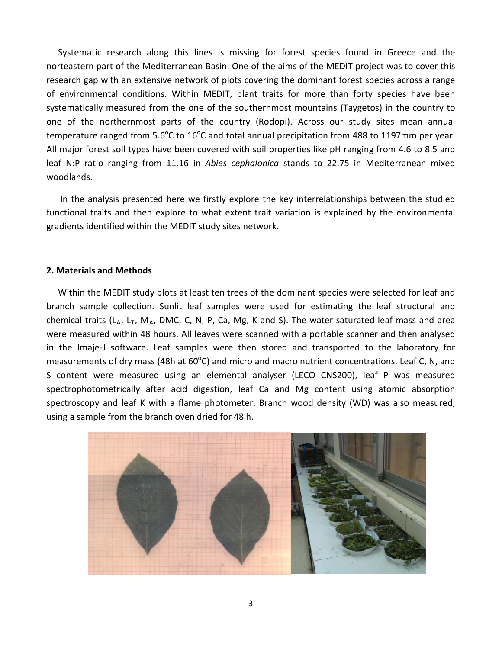Systematic research along this lines is missing for forest species found in Greece and the norteastern part of the Mediterranean Basin. One of the aims of the MEDIT project was to cover this research gap with an extensive network of plots covering the dominant forest species across a range of environmental conditions. Within MEDIT, plant traits for more than forty species have been systematically measured from the one of the southernmost mountains (Taygetos) in the country to one of the northernmost parts of the country (Rodopi). Across our study sites mean annual temperature ranged from 5.6<sup>o</sup>C to 16<sup>o</sup>C and total annual precipitation from 488 to 1197mm per year. All major forest soil types have been covered with soil properties like pH ranging from 4.6 to 8.5 and leaf N:P ratio ranging from 11.16 in *Abies cephalonica* stands to 22.75 in Mediterranean mixed woodlands.

In the analysis presented here we firstly explore the key interrelationships between the studied functional traits and then explore to what extent trait variation is explained by the environmental gradients identified within the MEDIT study sites network.

#### **2. Materials and Methods**

Within the MEDIT study plots at least ten trees of the dominant species were selected for leaf and branch sample collection. Sunlit leaf samples were used for estimating the leaf structural and chemical traits ( $L_A$ ,  $L_T$ ,  $M_A$ , DMC, C, N, P, Ca, Mg, K and S). The water saturated leaf mass and area were measured within 48 hours. All leaves were scanned with a portable scanner and then analysed in the Imaje-J software. Leaf samples were then stored and transported to the laboratory for measurements of dry mass (48h at 60 $^{\circ}$ C) and micro and macro nutrient concentrations. Leaf C, N, and S content were measured using an elemental analyser (LECO CNS200), leaf P was measured spectrophotometrically after acid digestion, leaf Ca and Mg content using atomic absorption spectroscopy and leaf K with a flame photometer. Branch wood density (WD) was also measured, using a sample from the branch oven dried for 48 h.

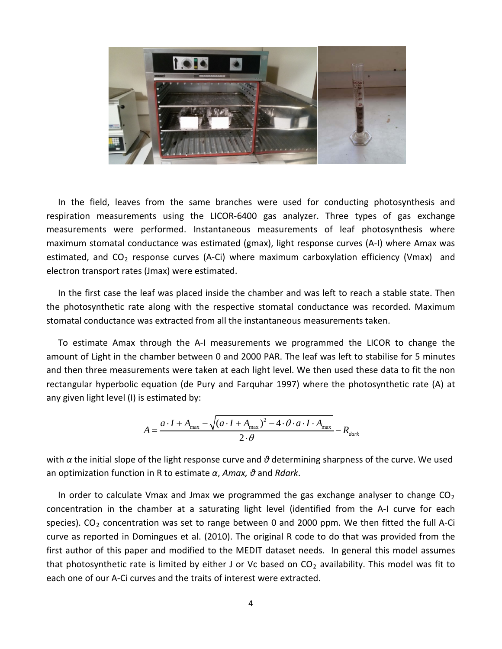

In the field, leaves from the same branches were used for conducting photosynthesis and respiration measurements using the LICOR-6400 gas analyzer. Three types of gas exchange measurements were performed. Instantaneous measurements of leaf photosynthesis where maximum stomatal conductance was estimated (gmax), light response curves (A-I) where Amax was estimated, and  $CO<sub>2</sub>$  response curves (A-Ci) where maximum carboxylation efficiency (Vmax) and electron transport rates (Jmax) were estimated.

In the first case the leaf was placed inside the chamber and was left to reach a stable state. Then the photosynthetic rate along with the respective stomatal conductance was recorded. Maximum stomatal conductance was extracted from all the instantaneous measurements taken.

To estimate Amax through the A-I measurements we programmed the LICOR to change the amount of Light in the chamber between 0 and 2000 PAR. The leaf was left to stabilise for 5 minutes and then three measurements were taken at each light level. We then used these data to fit the non rectangular hyperbolic equation (de Pury and Farquhar 1997) where the photosynthetic rate (A) at any given light level (I) is estimated by:

$$
A = \frac{a \cdot I + A_{\text{max}} - \sqrt{(a \cdot I + A_{\text{max}})^2 - 4 \cdot \theta \cdot a \cdot I \cdot A_{\text{max}}}}{2 \cdot \theta} - R_{dark}
$$

with *α* the initial slope of the light response curve and *θ* determining sharpness of the curve. We used an optimization function in R to estimate *α*, *Amax, θ* and *Rdark*.

In order to calculate Vmax and Jmax we programmed the gas exchange analyser to change  $CO<sub>2</sub>$ concentration in the chamber at a saturating light level (identified from the A-I curve for each species). CO<sub>2</sub> concentration was set to range between 0 and 2000 ppm. We then fitted the full A-Ci curve as reported in Domingues et al. (2010). The original R code to do that was provided from the first author of this paper and modified to the MEDIT dataset needs. In general this model assumes that photosynthetic rate is limited by either J or Vc based on  $CO<sub>2</sub>$  availability. This model was fit to each one of our A-Ci curves and the traits of interest were extracted.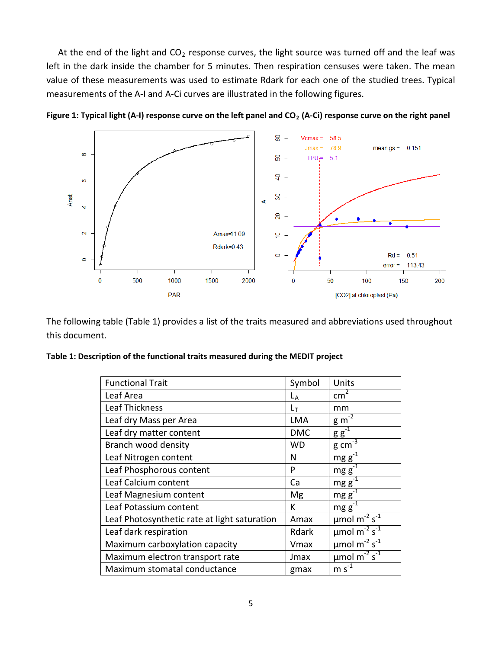At the end of the light and  $CO<sub>2</sub>$  response curves, the light source was turned off and the leaf was left in the dark inside the chamber for 5 minutes. Then respiration censuses were taken. The mean value of these measurements was used to estimate Rdark for each one of the studied trees. Typical measurements of the A-I and A-Ci curves are illustrated in the following figures.



Figure 1: Typical light (A-I) response curve on the left panel and CO<sub>2</sub> (A-Ci) response curve on the right panel

The following table (Table 1) provides a list of the traits measured and abbreviations used throughout this document.

|  |  | Table 1: Description of the functional traits measured during the MEDIT project |  |
|--|--|---------------------------------------------------------------------------------|--|
|--|--|---------------------------------------------------------------------------------|--|

| <b>Functional Trait</b>                      | Symbol     | Units                                                |
|----------------------------------------------|------------|------------------------------------------------------|
| Leaf Area                                    | $L_A$      | $\text{cm}^2$                                        |
| Leaf Thickness                               | $L_T$      | mm                                                   |
| Leaf dry Mass per Area                       | <b>LMA</b> | $\mathbf{g}$ m <sup>-2</sup>                         |
| Leaf dry matter content                      | <b>DMC</b> | $g g^{-1}$                                           |
| Branch wood density                          | WD         | $rac{g}{2}$ cm <sup>-3</sup>                         |
| Leaf Nitrogen content                        | N          | mgg                                                  |
| Leaf Phosphorous content                     | P          | $mgg^{-1}$                                           |
| Leaf Calcium content                         | Ca         | mg g                                                 |
| Leaf Magnesium content                       | Mg         | $mg g^3$                                             |
| Leaf Potassium content                       | К          | $mg g^{-1}$                                          |
| Leaf Photosynthetic rate at light saturation | Amax       | $\mu$ mol m $\sqrt{2}$ s <sup>-1</sup>               |
| Leaf dark respiration                        | Rdark      | $\mu$ mol m <sup>-2</sup> s <sup>-1</sup>            |
| Maximum carboxylation capacity               | Vmax       | $\mu$ mol m <sup>-<math>2\text{ s}^{-1}</math></sup> |
| Maximum electron transport rate              | Jmax       | $\mu$ mol m <sup>-2</sup> s <sup>-1</sup>            |
| Maximum stomatal conductance                 | gmax       | $m s-1$                                              |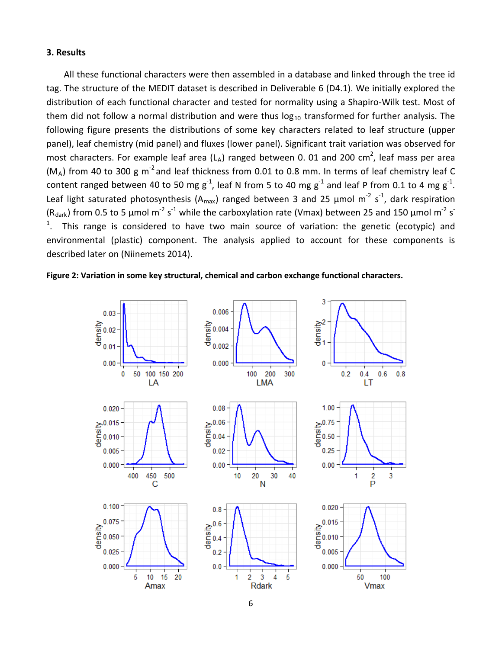### **3. Results**

All these functional characters were then assembled in a database and linked through the tree id tag. The structure of the MEDIT dataset is described in Deliverable 6 (D4.1). We initially explored the distribution of each functional character and tested for normality using a Shapiro-Wilk test. Most of them did not follow a normal distribution and were thus  $log_{10}$  transformed for further analysis. The following figure presents the distributions of some key characters related to leaf structure (upper panel), leaf chemistry (mid panel) and fluxes (lower panel). Significant trait variation was observed for most characters. For example leaf area (LA) ranged between 0. 01 and 200 cm<sup>2</sup>, leaf mass per area  $(M_A)$  from 40 to 300 g m<sup>-2</sup> and leaf thickness from 0.01 to 0.8 mm. In terms of leaf chemistry leaf C content ranged between 40 to 50 mg g<sup>-1</sup>, leaf N from 5 to 40 mg g<sup>-1</sup> and leaf P from 0.1 to 4 mg g<sup>-1</sup>. Leaf light saturated photosynthesis (A<sub>max</sub>) ranged between 3 and 25  $\mu$ mol m<sup>-2</sup> s<sup>-1</sup>, dark respiration (R<sub>dark</sub>) from 0.5 to 5 µmol m<sup>-2</sup> s<sup>-1</sup> while the carboxylation rate (Vmax) between 25 and 150 µmol m<sup>-2</sup> s<sup>-</sup>  $1$ . This range is considered to have two main source of variation: the genetic (ecotypic) and environmental (plastic) component. The analysis applied to account for these components is described later on (Niinemets 2014).



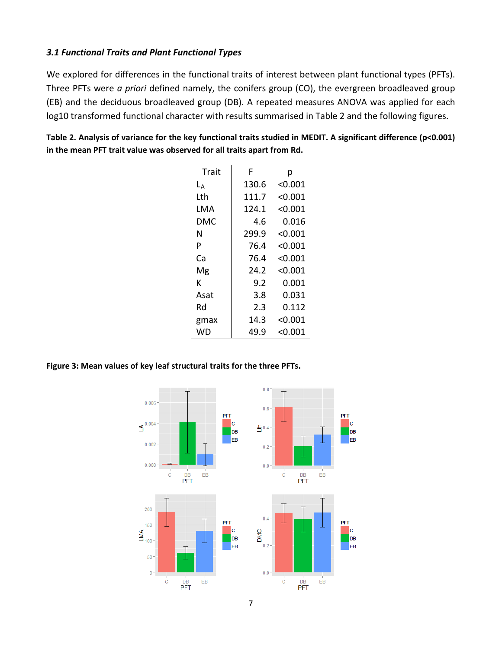# *3.1 Functional Traits and Plant Functional Types*

We explored for differences in the functional traits of interest between plant functional types (PFTs). Three PFTs were *a priori* defined namely, the conifers group (CO), the evergreen broadleaved group (EB) and the deciduous broadleaved group (DB). A repeated measures ANOVA was applied for each log10 transformed functional character with results summarised in Table 2 and the following figures.

| Table 2. Analysis of variance for the key functional traits studied in MEDIT. A significant difference (p<0.001) |
|------------------------------------------------------------------------------------------------------------------|
| in the mean PFT trait value was observed for all traits apart from Rd.                                           |

| Trait | F     | р       |
|-------|-------|---------|
| $L_A$ | 130.6 | < 0.001 |
| Lth   | 111.7 | < 0.001 |
| LMA   | 124.1 | < 0.001 |
| DMC   | 4.6   | 0.016   |
| N     | 299.9 | < 0.001 |
| P     | 76.4  | < 0.001 |
| Cа    | 76.4  | < 0.001 |
| Mg    | 24.2  | < 0.001 |
| к     | 9.2   | 0.001   |
| Asat  | 3.8   | 0.031   |
| Rd    | 2.3   | 0.112   |
| gmax  | 14.3  | < 0.001 |
| WD    | 49.9  | < 0.001 |

**Figure 3: Mean values of key leaf structural traits for the three PFTs.**

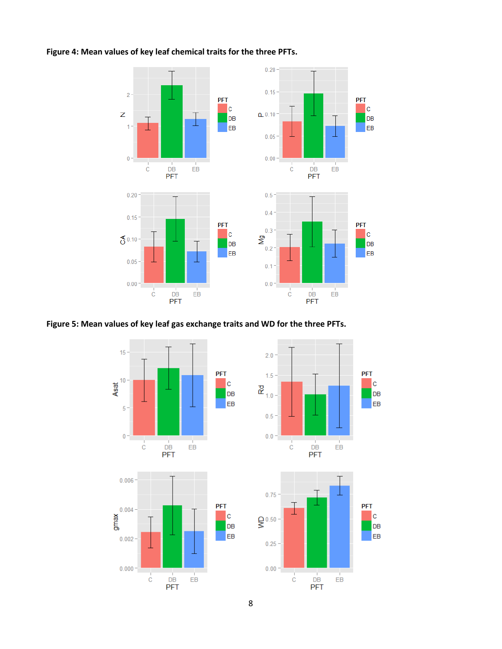

**PFT** 

**PFT** 

 $\vert c \vert$ 

 $DB$ 

EB

 $\vert c \vert$ 

DB

EB

**Figure 4: Mean values of key leaf chemical traits for the three PFTs.**

# **Figure 5: Mean values of key leaf gas exchange traits and WD for the three PFTs.**

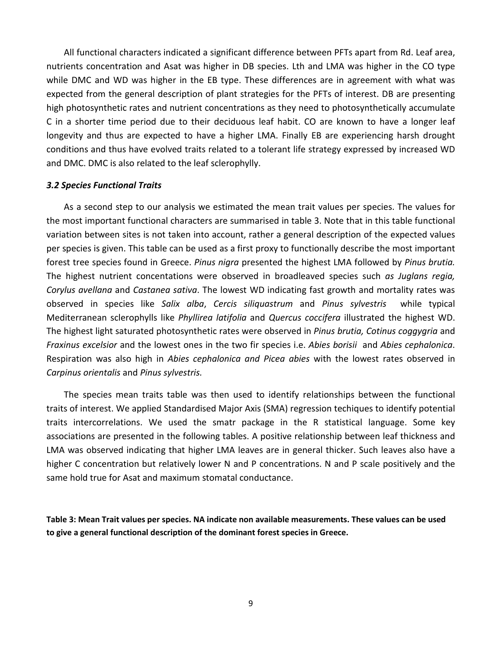All functional characters indicated a significant difference between PFTs apart from Rd. Leaf area, nutrients concentration and Asat was higher in DB species. Lth and LMA was higher in the CO type while DMC and WD was higher in the EB type. These differences are in agreement with what was expected from the general description of plant strategies for the PFTs of interest. DB are presenting high photosynthetic rates and nutrient concentrations as they need to photosynthetically accumulate C in a shorter time period due to their deciduous leaf habit. CO are known to have a longer leaf longevity and thus are expected to have a higher LMA. Finally EB are experiencing harsh drought conditions and thus have evolved traits related to a tolerant life strategy expressed by increased WD and DMC. DMC is also related to the leaf sclerophylly.

#### *3.2 Species Functional Traits*

As a second step to our analysis we estimated the mean trait values per species. The values for the most important functional characters are summarised in table 3. Note that in this table functional variation between sites is not taken into account, rather a general description of the expected values per species is given. This table can be used as a first proxy to functionally describe the most important forest tree species found in Greece. *Pinus nigra* presented the highest LMA followed by *Pinus brutia.*  The highest nutrient concentations were observed in broadleaved species such *as Juglans regia, Corylus avellana* and *Castanea sativa*. The lowest WD indicating fast growth and mortality rates was observed in species like *Salix alba*, *Cercis siliquastrum* and *Pinus sylvestris* while typical Mediterranean sclerophylls like *Phyllirea latifolia* and *Quercus coccifera* illustrated the highest WD. The highest light saturated photosynthetic rates were observed in *Pinus brutia, Cotinus coggygria* and *Fraxinus excelsior* and the lowest ones in the two fir species i.e. *Abies borisii* and *Abies cephalonica*. Respiration was also high in *Abies cephalonica and Picea abies* with the lowest rates observed in *Carpinus orientalis* and *Pinus sylvestris.*

The species mean traits table was then used to identify relationships between the functional traits of interest. We applied Standardised Major Axis (SMA) regression techiques to identify potential traits intercorrelations. We used the smatr package in the R statistical language. Some key associations are presented in the following tables. A positive relationship between leaf thickness and LMA was observed indicating that higher LMA leaves are in general thicker. Such leaves also have a higher C concentration but relatively lower N and P concentrations. N and P scale positively and the same hold true for Asat and maximum stomatal conductance.

**Table 3: Mean Trait values per species. NA indicate non available measurements. These values can be used to give a general functional description of the dominant forest species in Greece.**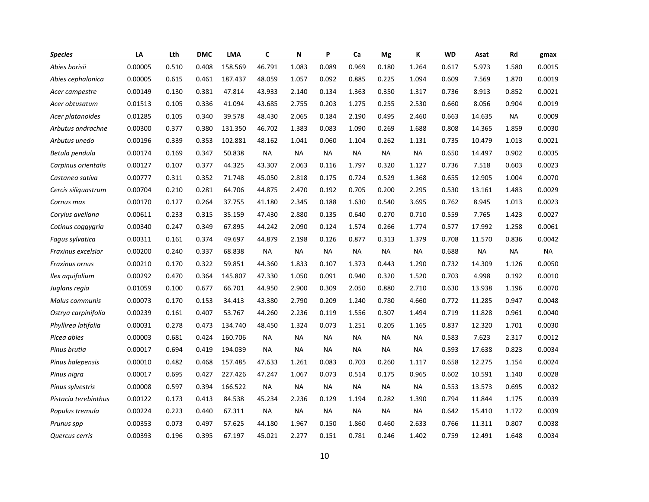| <b>Species</b>       | LA      | Lth   | <b>DMC</b> | <b>LMA</b> | C         | N         | P         | Ca        | Mg        | K         | <b>WD</b> | Asat      | Rd        | gmax      |
|----------------------|---------|-------|------------|------------|-----------|-----------|-----------|-----------|-----------|-----------|-----------|-----------|-----------|-----------|
| Abies borisii        | 0.00005 | 0.510 | 0.408      | 158.569    | 46.791    | 1.083     | 0.089     | 0.969     | 0.180     | 1.264     | 0.617     | 5.973     | 1.580     | 0.0015    |
| Abies cephalonica    | 0.00005 | 0.615 | 0.461      | 187.437    | 48.059    | 1.057     | 0.092     | 0.885     | 0.225     | 1.094     | 0.609     | 7.569     | 1.870     | 0.0019    |
| Acer campestre       | 0.00149 | 0.130 | 0.381      | 47.814     | 43.933    | 2.140     | 0.134     | 1.363     | 0.350     | 1.317     | 0.736     | 8.913     | 0.852     | 0.0021    |
| Acer obtusatum       | 0.01513 | 0.105 | 0.336      | 41.094     | 43.685    | 2.755     | 0.203     | 1.275     | 0.255     | 2.530     | 0.660     | 8.056     | 0.904     | 0.0019    |
| Acer platanoides     | 0.01285 | 0.105 | 0.340      | 39.578     | 48.430    | 2.065     | 0.184     | 2.190     | 0.495     | 2.460     | 0.663     | 14.635    | NA        | 0.0009    |
| Arbutus andrachne    | 0.00300 | 0.377 | 0.380      | 131.350    | 46.702    | 1.383     | 0.083     | 1.090     | 0.269     | 1.688     | 0.808     | 14.365    | 1.859     | 0.0030    |
| Arbutus unedo        | 0.00196 | 0.339 | 0.353      | 102.881    | 48.162    | 1.041     | 0.060     | 1.104     | 0.262     | 1.131     | 0.735     | 10.479    | 1.013     | 0.0021    |
| Betula pendula       | 0.00174 | 0.169 | 0.347      | 50.838     | <b>NA</b> | <b>NA</b> | <b>NA</b> | <b>NA</b> | NA        | <b>NA</b> | 0.650     | 14.497    | 0.902     | 0.0035    |
| Carpinus orientalis  | 0.00127 | 0.107 | 0.377      | 44.325     | 43.307    | 2.063     | 0.116     | 1.797     | 0.320     | 1.127     | 0.736     | 7.518     | 0.603     | 0.0023    |
| Castanea sativa      | 0.00777 | 0.311 | 0.352      | 71.748     | 45.050    | 2.818     | 0.175     | 0.724     | 0.529     | 1.368     | 0.655     | 12.905    | 1.004     | 0.0070    |
| Cercis siliguastrum  | 0.00704 | 0.210 | 0.281      | 64.706     | 44.875    | 2.470     | 0.192     | 0.705     | 0.200     | 2.295     | 0.530     | 13.161    | 1.483     | 0.0029    |
| Cornus mas           | 0.00170 | 0.127 | 0.264      | 37.755     | 41.180    | 2.345     | 0.188     | 1.630     | 0.540     | 3.695     | 0.762     | 8.945     | 1.013     | 0.0023    |
| Corylus avellana     | 0.00611 | 0.233 | 0.315      | 35.159     | 47.430    | 2.880     | 0.135     | 0.640     | 0.270     | 0.710     | 0.559     | 7.765     | 1.423     | 0.0027    |
| Cotinus coggygria    | 0.00340 | 0.247 | 0.349      | 67.895     | 44.242    | 2.090     | 0.124     | 1.574     | 0.266     | 1.774     | 0.577     | 17.992    | 1.258     | 0.0061    |
| Fagus sylvatica      | 0.00311 | 0.161 | 0.374      | 49.697     | 44.879    | 2.198     | 0.126     | 0.877     | 0.313     | 1.379     | 0.708     | 11.570    | 0.836     | 0.0042    |
| Fraxinus excelsior   | 0.00200 | 0.240 | 0.337      | 68.838     | <b>NA</b> | <b>NA</b> | <b>NA</b> | <b>NA</b> | NA        | <b>NA</b> | 0.688     | <b>NA</b> | <b>NA</b> | <b>NA</b> |
| Fraxinus ornus       | 0.00210 | 0.170 | 0.322      | 59.851     | 44.360    | 1.833     | 0.107     | 1.373     | 0.443     | 1.290     | 0.732     | 14.309    | 1.126     | 0.0050    |
| Ilex aquifolium      | 0.00292 | 0.470 | 0.364      | 145.807    | 47.330    | 1.050     | 0.091     | 0.940     | 0.320     | 1.520     | 0.703     | 4.998     | 0.192     | 0.0010    |
| Juglans regia        | 0.01059 | 0.100 | 0.677      | 66.701     | 44.950    | 2.900     | 0.309     | 2.050     | 0.880     | 2.710     | 0.630     | 13.938    | 1.196     | 0.0070    |
| Malus communis       | 0.00073 | 0.170 | 0.153      | 34.413     | 43.380    | 2.790     | 0.209     | 1.240     | 0.780     | 4.660     | 0.772     | 11.285    | 0.947     | 0.0048    |
| Ostrya carpinifolia  | 0.00239 | 0.161 | 0.407      | 53.767     | 44.260    | 2.236     | 0.119     | 1.556     | 0.307     | 1.494     | 0.719     | 11.828    | 0.961     | 0.0040    |
| Phyllirea latifolia  | 0.00031 | 0.278 | 0.473      | 134.740    | 48.450    | 1.324     | 0.073     | 1.251     | 0.205     | 1.165     | 0.837     | 12.320    | 1.701     | 0.0030    |
| Picea abies          | 0.00003 | 0.681 | 0.424      | 160.706    | <b>NA</b> | NА        | <b>NA</b> | <b>NA</b> | NA        | NA        | 0.583     | 7.623     | 2.317     | 0.0012    |
| Pinus brutia         | 0.00017 | 0.694 | 0.419      | 194.039    | <b>NA</b> | <b>NA</b> | <b>NA</b> | <b>NA</b> | <b>NA</b> | <b>NA</b> | 0.593     | 17.638    | 0.823     | 0.0034    |
| Pinus halepensis     | 0.00010 | 0.482 | 0.468      | 157.485    | 47.633    | 1.261     | 0.083     | 0.703     | 0.260     | 1.117     | 0.658     | 12.275    | 1.154     | 0.0024    |
| Pinus nigra          | 0.00017 | 0.695 | 0.427      | 227.426    | 47.247    | 1.067     | 0.073     | 0.514     | 0.175     | 0.965     | 0.602     | 10.591    | 1.140     | 0.0028    |
| Pinus sylvestris     | 0.00008 | 0.597 | 0.394      | 166.522    | <b>NA</b> | <b>NA</b> | <b>NA</b> | <b>NA</b> | <b>NA</b> | <b>NA</b> | 0.553     | 13.573    | 0.695     | 0.0032    |
| Pistacia terebinthus | 0.00122 | 0.173 | 0.413      | 84.538     | 45.234    | 2.236     | 0.129     | 1.194     | 0.282     | 1.390     | 0.794     | 11.844    | 1.175     | 0.0039    |
| Populus tremula      | 0.00224 | 0.223 | 0.440      | 67.311     | <b>NA</b> | <b>NA</b> | <b>NA</b> | NА        | NА        | NА        | 0.642     | 15.410    | 1.172     | 0.0039    |
| Prunus spp           | 0.00353 | 0.073 | 0.497      | 57.625     | 44.180    | 1.967     | 0.150     | 1.860     | 0.460     | 2.633     | 0.766     | 11.311    | 0.807     | 0.0038    |
| Quercus cerris       | 0.00393 | 0.196 | 0.395      | 67.197     | 45.021    | 2.277     | 0.151     | 0.781     | 0.246     | 1.402     | 0.759     | 12.491    | 1.648     | 0.0034    |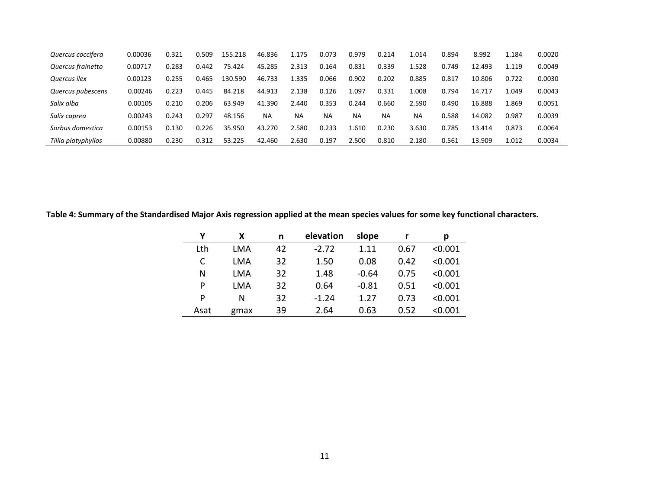| Quercus coccifera   | 0.00036 | 0.321 | 0.509 | 155.218 | 46.836    | 1.175 | 0.073     | 0.979 | 0.214     | 1.014 | 0.894 | 8.992  | 1.184 | 0.0020 |
|---------------------|---------|-------|-------|---------|-----------|-------|-----------|-------|-----------|-------|-------|--------|-------|--------|
| Quercus frainetto   | 0.00717 | 0.283 | 0.442 | 75.424  | 45.285    | 2.313 | 0.164     | 0.831 | 0.339     | 1.528 | 0.749 | 12.493 | 1.119 | 0.0049 |
| Quercus ilex        | 0.00123 | 0.255 | 0.465 | 130.590 | 46.733    | 1.335 | 0.066     | 0.902 | 0.202     | 0.885 | 0.817 | 10.806 | 0.722 | 0.0030 |
| Quercus pubescens   | 0.00246 | 0.223 | 0.445 | 84.218  | 44.913    | 2.138 | 0.126     | 1.097 | 0.331     | 1.008 | 0.794 | 14.717 | 1.049 | 0.0043 |
| Salix alba          | 0.00105 | 0.210 | 0.206 | 63.949  | 41.390    | 2.440 | 0.353     | 0.244 | 0.660     | 2.590 | 0.490 | 16.888 | 1.869 | 0.0051 |
| Salix caprea        | 0.00243 | 0.243 | 0.297 | 48.156  | <b>NA</b> | NА    | <b>NA</b> | NA    | <b>NA</b> | ΝA    | 0.588 | 14.082 | 0.987 | 0.0039 |
| Sorbus domestica    | 0.00153 | 0.130 | 0.226 | 35.950  | 43.270    | 2.580 | 0.233     | 1.610 | 0.230     | 3.630 | 0.785 | 13.414 | 0.873 | 0.0064 |
| Tillia platyphyllos | 0.00880 | 0.230 | 0.312 | 53.225  | 42.460    | 2.630 | 0.197     | 2.500 | 0.810     | 2.180 | 0.561 | 13.909 | 1.012 | 0.0034 |

**Table 4: Summary of the Standardised Major Axis regression applied at the mean species values for some key functional characters.** 

|      | χ    | n  | elevation | slope   |      | р       |
|------|------|----|-----------|---------|------|---------|
| Lth  | LMA  | 42 | $-2.72$   | 1.11    | 0.67 | < 0.001 |
| C    | LMA  | 32 | 1.50      | 0.08    | 0.42 | < 0.001 |
| N    | LMA  | 32 | 1.48      | $-0.64$ | 0.75 | < 0.001 |
| P    | LMA  | 32 | 0.64      | $-0.81$ | 0.51 | < 0.001 |
| Þ    | N    | 32 | $-1.24$   | 1.27    | 0.73 | < 0.001 |
| Asat | gmax | 39 | 2.64      | 0.63    | 0.52 | < 0.001 |
|      |      |    |           |         |      |         |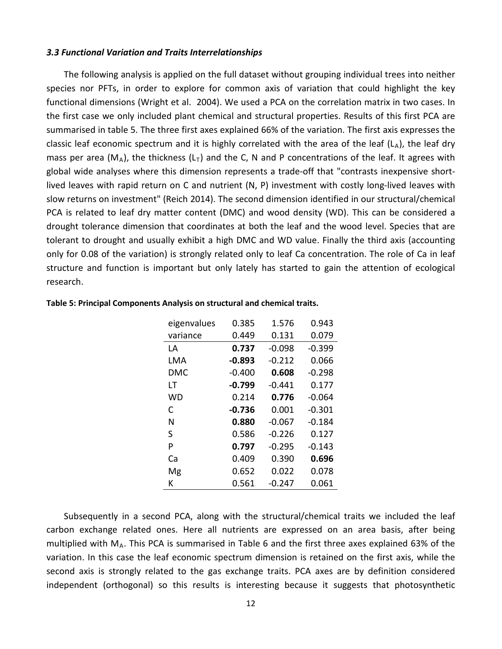#### *3.3 Functional Variation and Traits Interrelationships*

The following analysis is applied on the full dataset without grouping individual trees into neither species nor PFTs, in order to explore for common axis of variation that could highlight the key functional dimensions (Wright et al. 2004). We used a PCA on the correlation matrix in two cases. In the first case we only included plant chemical and structural properties. Results of this first PCA are summarised in table 5. The three first axes explained 66% of the variation. The first axis expresses the classic leaf economic spectrum and it is highly correlated with the area of the leaf  $(L_A)$ , the leaf dry mass per area ( $M_A$ ), the thickness ( $L_T$ ) and the C, N and P concentrations of the leaf. It agrees with global wide analyses where this dimension represents a trade-off that "contrasts inexpensive shortlived leaves with rapid return on C and nutrient (N, P) investment with costly long-lived leaves with slow returns on investment" (Reich 2014). The second dimension identified in our structural/chemical PCA is related to leaf dry matter content (DMC) and wood density (WD). This can be considered a drought tolerance dimension that coordinates at both the leaf and the wood level. Species that are tolerant to drought and usually exhibit a high DMC and WD value. Finally the third axis (accounting only for 0.08 of the variation) is strongly related only to leaf Ca concentration. The role of Ca in leaf structure and function is important but only lately has started to gain the attention of ecological research.

| eigenvalues | 0.385    | 1.576    | 0.943    |
|-------------|----------|----------|----------|
| variance    | 0.449    | 0.131    | 0.079    |
| LA          | 0.737    | $-0.098$ | $-0.399$ |
| LMA         | $-0.893$ | $-0.212$ | 0.066    |
| DMC         | $-0.400$ | 0.608    | $-0.298$ |
| LT          | $-0.799$ | $-0.441$ | 0.177    |
| WD          | 0.214    | 0.776    | $-0.064$ |
| C           | $-0.736$ | 0.001    | $-0.301$ |
| N           | 0.880    | $-0.067$ | -0.184   |
| S           | 0.586    | $-0.226$ | 0.127    |
| P           | 0.797    | $-0.295$ | $-0.143$ |
| Cа          | 0.409    | 0.390    | 0.696    |
| Mg          | 0.652    | 0.022    | 0.078    |
| К           | 0.561    | $-0.247$ | 0.061    |

#### **Table 5: Principal Components Analysis on structural and chemical traits.**

Subsequently in a second PCA, along with the structural/chemical traits we included the leaf carbon exchange related ones. Here all nutrients are expressed on an area basis, after being multiplied with  $M_A$ . This PCA is summarised in Table 6 and the first three axes explained 63% of the variation. In this case the leaf economic spectrum dimension is retained on the first axis, while the second axis is strongly related to the gas exchange traits. PCA axes are by definition considered independent (orthogonal) so this results is interesting because it suggests that photosynthetic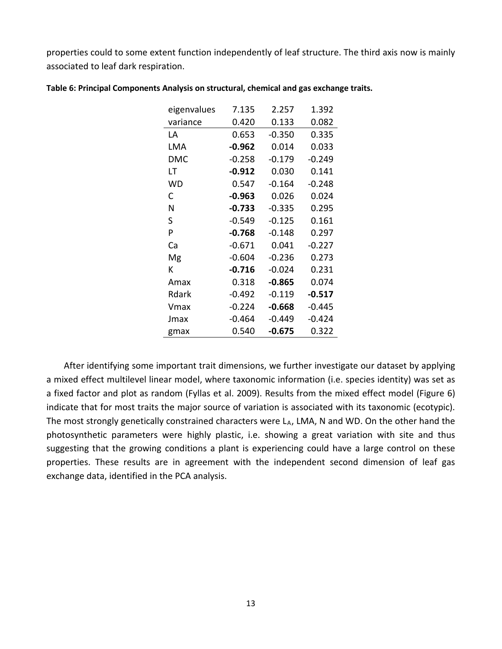properties could to some extent function independently of leaf structure. The third axis now is mainly associated to leaf dark respiration.

| eigenvalues | 7.135    | 2.257    | 1.392    |
|-------------|----------|----------|----------|
| variance    | 0.420    | 0.133    | 0.082    |
| ΙA          | 0.653    | $-0.350$ | 0.335    |
| LMA         | $-0.962$ | 0.014    | 0.033    |
| DMC         | $-0.258$ | $-0.179$ | $-0.249$ |
| LT          | $-0.912$ | 0.030    | 0.141    |
| WD          | 0.547    | $-0.164$ | $-0.248$ |
| C           | $-0.963$ | 0.026    | 0.024    |
| N           | $-0.733$ | $-0.335$ | 0.295    |
| S           | $-0.549$ | $-0.125$ | 0.161    |
| P           | $-0.768$ | $-0.148$ | 0.297    |
| Ca          | $-0.671$ | 0.041    | $-0.227$ |
| Mg          | $-0.604$ | $-0.236$ | 0.273    |
| К           | $-0.716$ | $-0.024$ | 0.231    |
| Amax        | 0.318    | $-0.865$ | 0.074    |
| Rdark       | $-0.492$ | $-0.119$ | -0.517   |
| Vmax        | $-0.224$ | $-0.668$ | $-0.445$ |
| Jmax        | $-0.464$ | $-0.449$ | -0.424   |
| gmax        | 0.540    | $-0.675$ | 0.322    |

#### **Table 6: Principal Components Analysis on structural, chemical and gas exchange traits.**

After identifying some important trait dimensions, we further investigate our dataset by applying a mixed effect multilevel linear model, where taxonomic information (i.e. species identity) was set as a fixed factor and plot as random (Fyllas et al. 2009). Results from the mixed effect model (Figure 6) indicate that for most traits the major source of variation is associated with its taxonomic (ecotypic). The most strongly genetically constrained characters were  $L_A$ , LMA, N and WD. On the other hand the photosynthetic parameters were highly plastic, i.e. showing a great variation with site and thus suggesting that the growing conditions a plant is experiencing could have a large control on these properties. These results are in agreement with the independent second dimension of leaf gas exchange data, identified in the PCA analysis.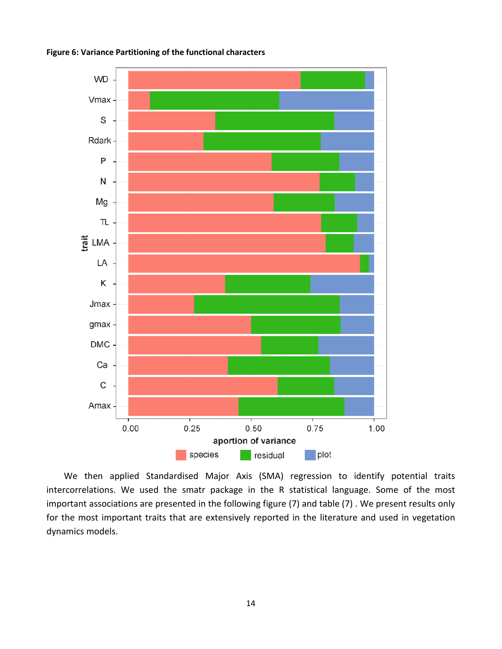



We then applied Standardised Major Axis (SMA) regression to identify potential traits intercorrelations. We used the smatr package in the R statistical language. Some of the most important associations are presented in the following figure (7) and table (7) . We present results only for the most important traits that are extensively reported in the literature and used in vegetation dynamics models.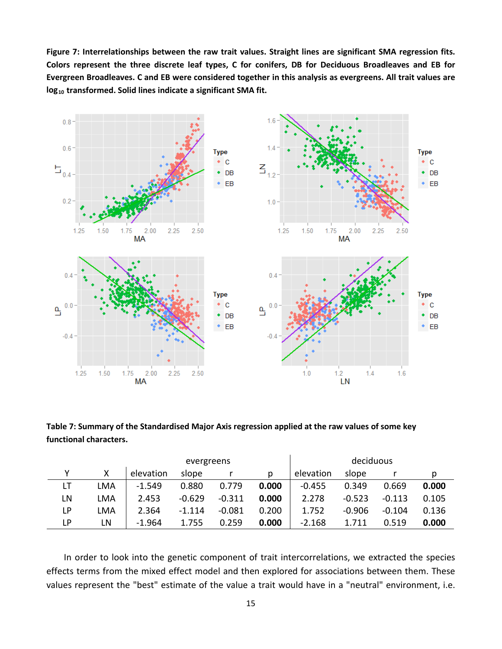**Figure 7: Interrelationships between the raw trait values. Straight lines are significant SMA regression fits. Colors represent the three discrete leaf types, C for conifers, DB for Deciduous Broadleaves and EB for Evergreen Broadleaves. C and EB were considered together in this analysis as evergreens. All trait values are log10 transformed. Solid lines indicate a significant SMA fit.**



**Table 7: Summary of the Standardised Major Axis regression applied at the raw values of some key functional characters.** 

|    |            |           |          | deciduous |       |           |          |          |       |
|----|------------|-----------|----------|-----------|-------|-----------|----------|----------|-------|
|    | χ          | elevation | slope    |           | D.    | elevation | slope    |          |       |
| LT | LMA        | $-1.549$  | 0.880    | 0.779     | 0.000 | $-0.455$  | 0.349    | 0.669    | 0.000 |
| LN | LMA        | 2.453     | $-0.629$ | $-0.311$  | 0.000 | 2.278     | $-0.523$ | $-0.113$ | 0.105 |
| LP | <b>LMA</b> | 2.364     | $-1.114$ | $-0.081$  | 0.200 | 1.752     | $-0.906$ | $-0.104$ | 0.136 |
| LP | LN         | $-1.964$  | 1.755    | 0.259     | 0.000 | $-2.168$  | 1.711    | 0.519    | 0.000 |

In order to look into the genetic component of trait intercorrelations, we extracted the species effects terms from the mixed effect model and then explored for associations between them. These values represent the "best" estimate of the value a trait would have in a "neutral" environment, i.e.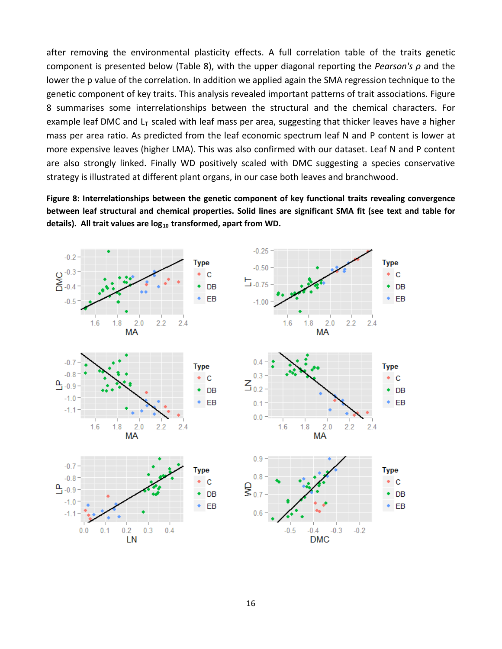after removing the environmental plasticity effects. A full correlation table of the traits genetic component is presented below (Table 8), with the upper diagonal reporting the *Pearson's ρ* and the lower the p value of the correlation. In addition we applied again the SMA regression technique to the genetic component of key traits. This analysis revealed important patterns of trait associations. Figure 8 summarises some interrelationships between the structural and the chemical characters. For example leaf DMC and  $L<sub>T</sub>$  scaled with leaf mass per area, suggesting that thicker leaves have a higher mass per area ratio. As predicted from the leaf economic spectrum leaf N and P content is lower at more expensive leaves (higher LMA). This was also confirmed with our dataset. Leaf N and P content are also strongly linked. Finally WD positively scaled with DMC suggesting a species conservative strategy is illustrated at different plant organs, in our case both leaves and branchwood.

**Figure 8: Interrelationships between the genetic component of key functional traits revealing convergence between leaf structural and chemical properties. Solid lines are significant SMA fit (see text and table for**  details). All trait values are log<sub>10</sub> transformed, apart from WD.

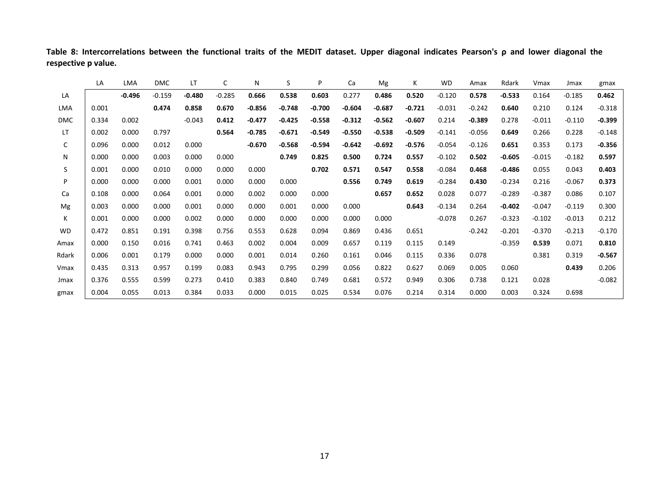|              | LA    | LMA      | <b>DMC</b> | LT       | С        | N        | S        | P        | Ca       | Mg       | К        | <b>WD</b> | Amax     | Rdark    | Vmax     | Jmax     | gmax     |
|--------------|-------|----------|------------|----------|----------|----------|----------|----------|----------|----------|----------|-----------|----------|----------|----------|----------|----------|
| LA           |       | $-0.496$ | $-0.159$   | $-0.480$ | $-0.285$ | 0.666    | 0.538    | 0.603    | 0.277    | 0.486    | 0.520    | $-0.120$  | 0.578    | $-0.533$ | 0.164    | $-0.185$ | 0.462    |
| LMA          | 0.001 |          | 0.474      | 0.858    | 0.670    | $-0.856$ | $-0.748$ | $-0.700$ | $-0.604$ | $-0.687$ | $-0.721$ | $-0.031$  | $-0.242$ | 0.640    | 0.210    | 0.124    | $-0.318$ |
| <b>DMC</b>   | 0.334 | 0.002    |            | $-0.043$ | 0.412    | $-0.477$ | $-0.425$ | $-0.558$ | $-0.312$ | $-0.562$ | $-0.607$ | 0.214     | $-0.389$ | 0.278    | $-0.011$ | $-0.110$ | $-0.399$ |
| LT.          | 0.002 | 0.000    | 0.797      |          | 0.564    | $-0.785$ | $-0.671$ | $-0.549$ | $-0.550$ | $-0.538$ | $-0.509$ | $-0.141$  | $-0.056$ | 0.649    | 0.266    | 0.228    | $-0.148$ |
| $\mathsf{C}$ | 0.096 | 0.000    | 0.012      | 0.000    |          | $-0.670$ | $-0.568$ | $-0.594$ | $-0.642$ | $-0.692$ | $-0.576$ | $-0.054$  | $-0.126$ | 0.651    | 0.353    | 0.173    | $-0.356$ |
| N            | 0.000 | 0.000    | 0.003      | 0.000    | 0.000    |          | 0.749    | 0.825    | 0.500    | 0.724    | 0.557    | $-0.102$  | 0.502    | $-0.605$ | $-0.015$ | $-0.182$ | 0.597    |
| S.           | 0.001 | 0.000    | 0.010      | 0.000    | 0.000    | 0.000    |          | 0.702    | 0.571    | 0.547    | 0.558    | $-0.084$  | 0.468    | $-0.486$ | 0.055    | 0.043    | 0.403    |
| P            | 0.000 | 0.000    | 0.000      | 0.001    | 0.000    | 0.000    | 0.000    |          | 0.556    | 0.749    | 0.619    | $-0.284$  | 0.430    | $-0.234$ | 0.216    | $-0.067$ | 0.373    |
| Ca           | 0.108 | 0.000    | 0.064      | 0.001    | 0.000    | 0.002    | 0.000    | 0.000    |          | 0.657    | 0.652    | 0.028     | 0.077    | $-0.289$ | $-0.387$ | 0.086    | 0.107    |
| Mg           | 0.003 | 0.000    | 0.000      | 0.001    | 0.000    | 0.000    | 0.001    | 0.000    | 0.000    |          | 0.643    | $-0.134$  | 0.264    | $-0.402$ | $-0.047$ | $-0.119$ | 0.300    |
| K            | 0.001 | 0.000    | 0.000      | 0.002    | 0.000    | 0.000    | 0.000    | 0.000    | 0.000    | 0.000    |          | $-0.078$  | 0.267    | $-0.323$ | $-0.102$ | $-0.013$ | 0.212    |
| WD           | 0.472 | 0.851    | 0.191      | 0.398    | 0.756    | 0.553    | 0.628    | 0.094    | 0.869    | 0.436    | 0.651    |           | $-0.242$ | $-0.201$ | $-0.370$ | $-0.213$ | $-0.170$ |
| Amax         | 0.000 | 0.150    | 0.016      | 0.741    | 0.463    | 0.002    | 0.004    | 0.009    | 0.657    | 0.119    | 0.115    | 0.149     |          | $-0.359$ | 0.539    | 0.071    | 0.810    |
| Rdark        | 0.006 | 0.001    | 0.179      | 0.000    | 0.000    | 0.001    | 0.014    | 0.260    | 0.161    | 0.046    | 0.115    | 0.336     | 0.078    |          | 0.381    | 0.319    | $-0.567$ |
| Vmax         | 0.435 | 0.313    | 0.957      | 0.199    | 0.083    | 0.943    | 0.795    | 0.299    | 0.056    | 0.822    | 0.627    | 0.069     | 0.005    | 0.060    |          | 0.439    | 0.206    |
| Jmax         | 0.376 | 0.555    | 0.599      | 0.273    | 0.410    | 0.383    | 0.840    | 0.749    | 0.681    | 0.572    | 0.949    | 0.306     | 0.738    | 0.121    | 0.028    |          | $-0.082$ |
| gmax         | 0.004 | 0.055    | 0.013      | 0.384    | 0.033    | 0.000    | 0.015    | 0.025    | 0.534    | 0.076    | 0.214    | 0.314     | 0.000    | 0.003    | 0.324    | 0.698    |          |

**Table 8: Intercorrelations between the functional traits of the MEDIT dataset. Upper diagonal indicates Pearson's ρ and lower diagonal the respective p value.**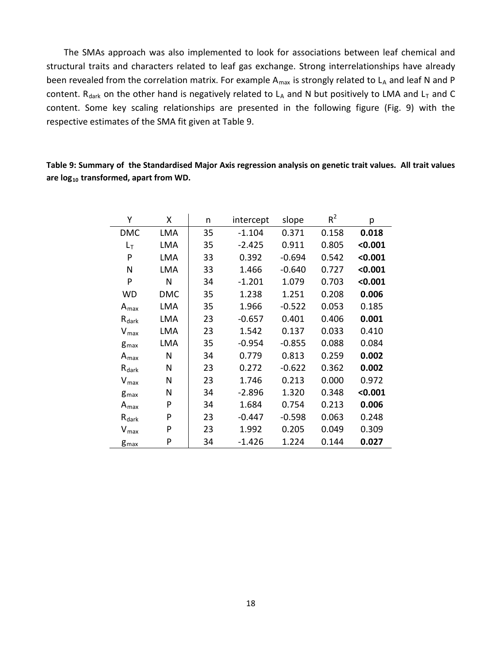The SMAs approach was also implemented to look for associations between leaf chemical and structural traits and characters related to leaf gas exchange. Strong interrelationships have already been revealed from the correlation matrix. For example  $A_{max}$  is strongly related to  $L_A$  and leaf N and P content. R<sub>dark</sub> on the other hand is negatively related to L<sub>A</sub> and N but positively to LMA and L<sub>T</sub> and C content. Some key scaling relationships are presented in the following figure (Fig. 9) with the respective estimates of the SMA fit given at Table 9.

| Υ                       | X          | n  | intercept | slope    | $R^2$ | p       |
|-------------------------|------------|----|-----------|----------|-------|---------|
| <b>DMC</b>              | <b>LMA</b> | 35 | $-1.104$  | 0.371    | 0.158 | 0.018   |
| $L_T$                   | LMA        | 35 | $-2.425$  | 0.911    | 0.805 | < 0.001 |
| P                       | LMA        | 33 | 0.392     | $-0.694$ | 0.542 | < 0.001 |
| N                       | LMA        | 33 | 1.466     | $-0.640$ | 0.727 | < 0.001 |
| P                       | N          | 34 | $-1.201$  | 1.079    | 0.703 | < 0.001 |
| <b>WD</b>               | <b>DMC</b> | 35 | 1.238     | 1.251    | 0.208 | 0.006   |
| $A_{\text{max}}$        | LMA        | 35 | 1.966     | $-0.522$ | 0.053 | 0.185   |
| $R_{dark}$              | LMA        | 23 | $-0.657$  | 0.401    | 0.406 | 0.001   |
| $V_{\text{max}}$        | LMA        | 23 | 1.542     | 0.137    | 0.033 | 0.410   |
| <b>g</b> <sub>max</sub> | LMA        | 35 | $-0.954$  | $-0.855$ | 0.088 | 0.084   |
| $A_{\text{max}}$        | N          | 34 | 0.779     | 0.813    | 0.259 | 0.002   |
| $R_{dark}$              | N          | 23 | 0.272     | $-0.622$ | 0.362 | 0.002   |
| $V_{max}$               | N          | 23 | 1.746     | 0.213    | 0.000 | 0.972   |
| $g_{\text{max}}$        | N          | 34 | $-2.896$  | 1.320    | 0.348 | < 0.001 |
| $A_{\text{max}}$        | P          | 34 | 1.684     | 0.754    | 0.213 | 0.006   |
| $R_{dark}$              | P          | 23 | $-0.447$  | $-0.598$ | 0.063 | 0.248   |
| $V_{\textrm{max}}$      | P          | 23 | 1.992     | 0.205    | 0.049 | 0.309   |
| $g_{\text{max}}$        | P          | 34 | $-1.426$  | 1.224    | 0.144 | 0.027   |

**Table 9: Summary of the Standardised Major Axis regression analysis on genetic trait values. All trait values are log10 transformed, apart from WD.**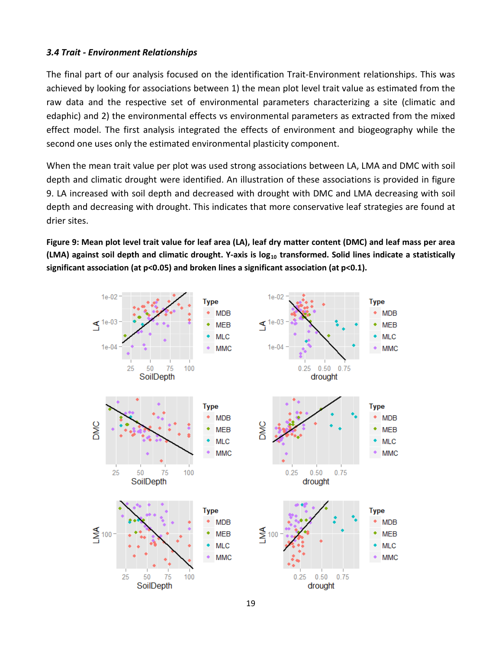## *3.4 Trait - Environment Relationships*

The final part of our analysis focused on the identification Trait-Environment relationships. This was achieved by looking for associations between 1) the mean plot level trait value as estimated from the raw data and the respective set of environmental parameters characterizing a site (climatic and edaphic) and 2) the environmental effects vs environmental parameters as extracted from the mixed effect model. The first analysis integrated the effects of environment and biogeography while the second one uses only the estimated environmental plasticity component.

When the mean trait value per plot was used strong associations between LA, LMA and DMC with soil depth and climatic drought were identified. An illustration of these associations is provided in figure 9. LA increased with soil depth and decreased with drought with DMC and LMA decreasing with soil depth and decreasing with drought. This indicates that more conservative leaf strategies are found at drier sites.

**Figure 9: Mean plot level trait value for leaf area (LA), leaf dry matter content (DMC) and leaf mass per area (LMA) against soil depth and climatic drought. Y-axis is log10 transformed. Solid lines indicate a statistically significant association (at p<0.05) and broken lines a significant association (at p<0.1).**

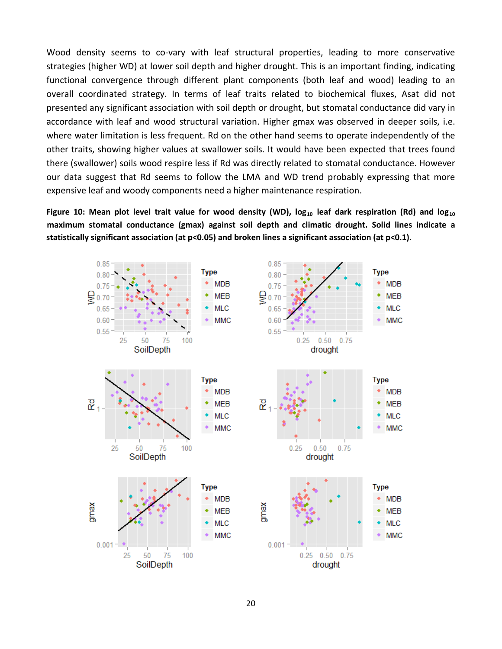Wood density seems to co-vary with leaf structural properties, leading to more conservative strategies (higher WD) at lower soil depth and higher drought. This is an important finding, indicating functional convergence through different plant components (both leaf and wood) leading to an overall coordinated strategy. In terms of leaf traits related to biochemical fluxes, Asat did not presented any significant association with soil depth or drought, but stomatal conductance did vary in accordance with leaf and wood structural variation. Higher gmax was observed in deeper soils, i.e. where water limitation is less frequent. Rd on the other hand seems to operate independently of the other traits, showing higher values at swallower soils. It would have been expected that trees found there (swallower) soils wood respire less if Rd was directly related to stomatal conductance. However our data suggest that Rd seems to follow the LMA and WD trend probably expressing that more expensive leaf and woody components need a higher maintenance respiration.

Figure 10: Mean plot level trait value for wood density (WD), log<sub>10</sub> leaf dark respiration (Rd) and log<sub>10</sub> **maximum stomatal conductance (gmax) against soil depth and climatic drought. Solid lines indicate a statistically significant association (at p<0.05) and broken lines a significant association (at p<0.1).**

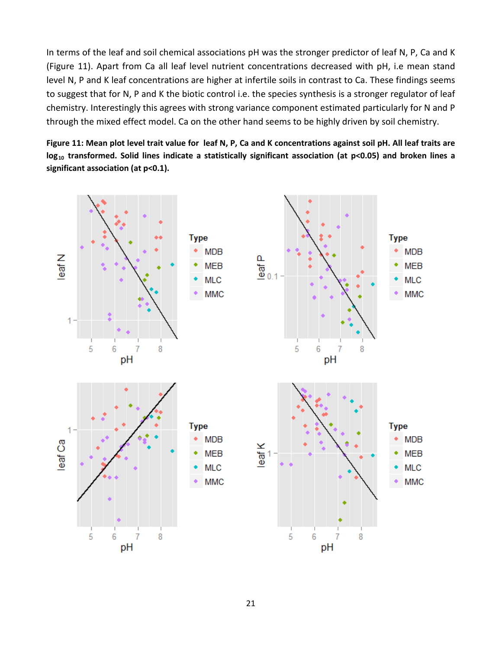In terms of the leaf and soil chemical associations pH was the stronger predictor of leaf N, P, Ca and K (Figure 11). Apart from Ca all leaf level nutrient concentrations decreased with pH, i.e mean stand level N, P and K leaf concentrations are higher at infertile soils in contrast to Ca. These findings seems to suggest that for N, P and K the biotic control i.e. the species synthesis is a stronger regulator of leaf chemistry. Interestingly this agrees with strong variance component estimated particularly for N and P through the mixed effect model. Ca on the other hand seems to be highly driven by soil chemistry.

**Figure 11: Mean plot level trait value for leaf N, P, Ca and K concentrations against soil pH. All leaf traits are log10 transformed. Solid lines indicate a statistically significant association (at p<0.05) and broken lines a significant association (at p<0.1).**

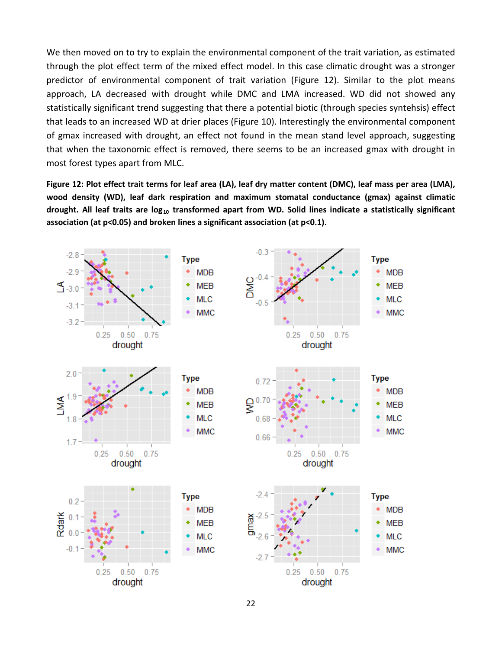We then moved on to try to explain the environmental component of the trait variation, as estimated through the plot effect term of the mixed effect model. In this case climatic drought was a stronger predictor of environmental component of trait variation (Figure 12). Similar to the plot means approach, LA decreased with drought while DMC and LMA increased. WD did not showed any statistically significant trend suggesting that there a potential biotic (through species syntehsis) effect that leads to an increased WD at drier places (Figure 10). Interestingly the environmental component of gmax increased with drought, an effect not found in the mean stand level approach, suggesting that when the taxonomic effect is removed, there seems to be an increased gmax with drought in most forest types apart from MLC.

**Figure 12: Plot effect trait terms for leaf area (LA), leaf dry matter content (DMC), leaf mass per area (LMA), wood density (WD), leaf dark respiration and maximum stomatal conductance (gmax) against climatic drought. All leaf traits are log10 transformed apart from WD. Solid lines indicate a statistically significant association (at p<0.05) and broken lines a significant association (at p<0.1).**

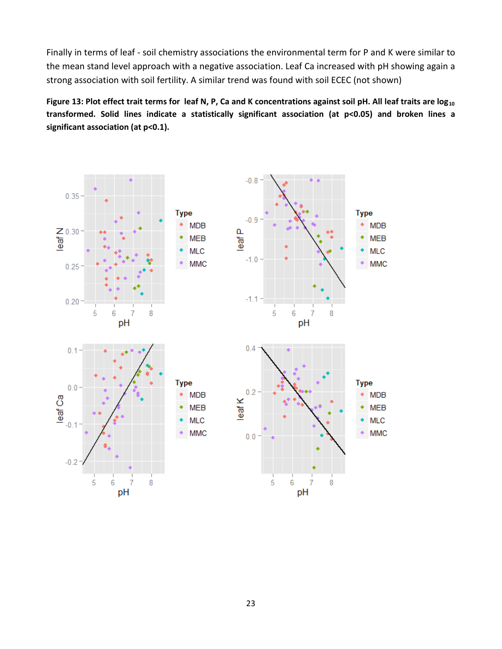Finally in terms of leaf - soil chemistry associations the environmental term for P and K were similar to the mean stand level approach with a negative association. Leaf Ca increased with pH showing again a strong association with soil fertility. A similar trend was found with soil ECEC (not shown)

Figure 13: Plot effect trait terms for leaf N, P, Ca and K concentrations against soil pH. All leaf traits are log<sub>10</sub> **transformed. Solid lines indicate a statistically significant association (at p<0.05) and broken lines a significant association (at p<0.1).**

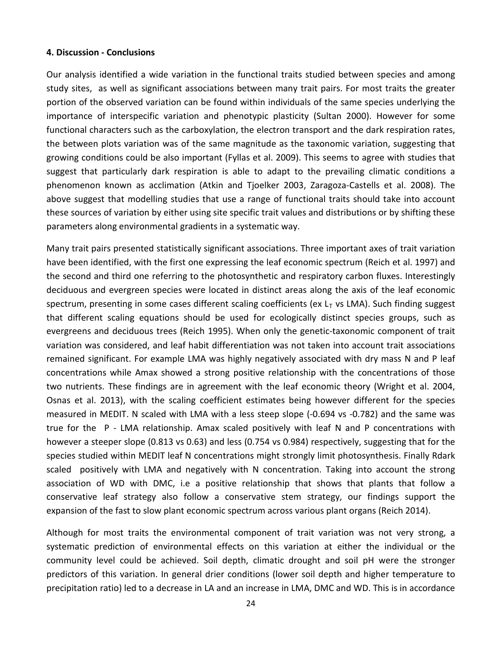#### **4. Discussion - Conclusions**

Our analysis identified a wide variation in the functional traits studied between species and among study sites, as well as significant associations between many trait pairs. For most traits the greater portion of the observed variation can be found within individuals of the same species underlying the importance of interspecific variation and phenotypic plasticity (Sultan 2000). However for some functional characters such as the carboxylation, the electron transport and the dark respiration rates, the between plots variation was of the same magnitude as the taxonomic variation, suggesting that growing conditions could be also important (Fyllas et al. 2009). This seems to agree with studies that suggest that particularly dark respiration is able to adapt to the prevailing climatic conditions a phenomenon known as acclimation (Atkin and Tjoelker 2003, Zaragoza-Castells et al. 2008). The above suggest that modelling studies that use a range of functional traits should take into account these sources of variation by either using site specific trait values and distributions or by shifting these parameters along environmental gradients in a systematic way.

Many trait pairs presented statistically significant associations. Three important axes of trait variation have been identified, with the first one expressing the leaf economic spectrum (Reich et al. 1997) and the second and third one referring to the photosynthetic and respiratory carbon fluxes. Interestingly deciduous and evergreen species were located in distinct areas along the axis of the leaf economic spectrum, presenting in some cases different scaling coefficients (ex  $L<sub>T</sub>$  vs LMA). Such finding suggest that different scaling equations should be used for ecologically distinct species groups, such as evergreens and deciduous trees (Reich 1995). When only the genetic-taxonomic component of trait variation was considered, and leaf habit differentiation was not taken into account trait associations remained significant. For example LMA was highly negatively associated with dry mass N and P leaf concentrations while Amax showed a strong positive relationship with the concentrations of those two nutrients. These findings are in agreement with the leaf economic theory (Wright et al. 2004, Osnas et al. 2013), with the scaling coefficient estimates being however different for the species measured in MEDIT. N scaled with LMA with a less steep slope (-0.694 vs -0.782) and the same was true for the P - LMA relationship. Amax scaled positively with leaf N and P concentrations with however a steeper slope (0.813 vs 0.63) and less (0.754 vs 0.984) respectively, suggesting that for the species studied within MEDIT leaf N concentrations might strongly limit photosynthesis. Finally Rdark scaled positively with LMA and negatively with N concentration. Taking into account the strong association of WD with DMC, i.e a positive relationship that shows that plants that follow a conservative leaf strategy also follow a conservative stem strategy, our findings support the expansion of the fast to slow plant economic spectrum across various plant organs (Reich 2014).

Although for most traits the environmental component of trait variation was not very strong, a systematic prediction of environmental effects on this variation at either the individual or the community level could be achieved. Soil depth, climatic drought and soil pH were the stronger predictors of this variation. In general drier conditions (lower soil depth and higher temperature to precipitation ratio) led to a decrease in LA and an increase in LMA, DMC and WD. This is in accordance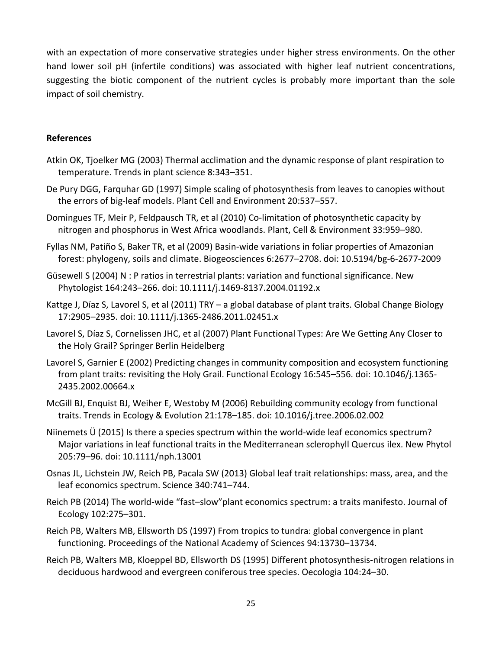with an expectation of more conservative strategies under higher stress environments. On the other hand lower soil pH (infertile conditions) was associated with higher leaf nutrient concentrations, suggesting the biotic component of the nutrient cycles is probably more important than the sole impact of soil chemistry.

### **References**

- Atkin OK, Tjoelker MG (2003) Thermal acclimation and the dynamic response of plant respiration to temperature. Trends in plant science 8:343–351.
- De Pury DGG, Farquhar GD (1997) Simple scaling of photosynthesis from leaves to canopies without the errors of big-leaf models. Plant Cell and Environment 20:537–557.
- Domingues TF, Meir P, Feldpausch TR, et al (2010) Co-limitation of photosynthetic capacity by nitrogen and phosphorus in West Africa woodlands. Plant, Cell & Environment 33:959–980.
- Fyllas NM, Patiño S, Baker TR, et al (2009) Basin-wide variations in foliar properties of Amazonian forest: phylogeny, soils and climate. Biogeosciences 6:2677–2708. doi: 10.5194/bg-6-2677-2009
- Güsewell S (2004) N : P ratios in terrestrial plants: variation and functional significance. New Phytologist 164:243–266. doi: 10.1111/j.1469-8137.2004.01192.x
- Kattge J, Díaz S, Lavorel S, et al (2011) TRY a global database of plant traits. Global Change Biology 17:2905–2935. doi: 10.1111/j.1365-2486.2011.02451.x
- Lavorel S, Díaz S, Cornelissen JHC, et al (2007) Plant Functional Types: Are We Getting Any Closer to the Holy Grail? Springer Berlin Heidelberg
- Lavorel S, Garnier E (2002) Predicting changes in community composition and ecosystem functioning from plant traits: revisiting the Holy Grail. Functional Ecology 16:545–556. doi: 10.1046/j.1365- 2435.2002.00664.x
- McGill BJ, Enquist BJ, Weiher E, Westoby M (2006) Rebuilding community ecology from functional traits. Trends in Ecology & Evolution 21:178–185. doi: 10.1016/j.tree.2006.02.002
- Niinemets Ü (2015) Is there a species spectrum within the world-wide leaf economics spectrum? Major variations in leaf functional traits in the Mediterranean sclerophyll Quercus ilex. New Phytol 205:79–96. doi: 10.1111/nph.13001
- Osnas JL, Lichstein JW, Reich PB, Pacala SW (2013) Global leaf trait relationships: mass, area, and the leaf economics spectrum. Science 340:741–744.
- Reich PB (2014) The world-wide "fast–slow"plant economics spectrum: a traits manifesto. Journal of Ecology 102:275–301.
- Reich PB, Walters MB, Ellsworth DS (1997) From tropics to tundra: global convergence in plant functioning. Proceedings of the National Academy of Sciences 94:13730–13734.
- Reich PB, Walters MB, Kloeppel BD, Ellsworth DS (1995) Different photosynthesis-nitrogen relations in deciduous hardwood and evergreen coniferous tree species. Oecologia 104:24–30.